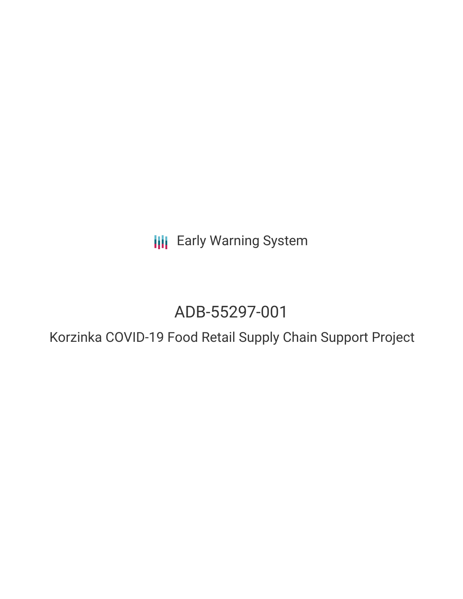**III** Early Warning System

# ADB-55297-001

Korzinka COVID-19 Food Retail Supply Chain Support Project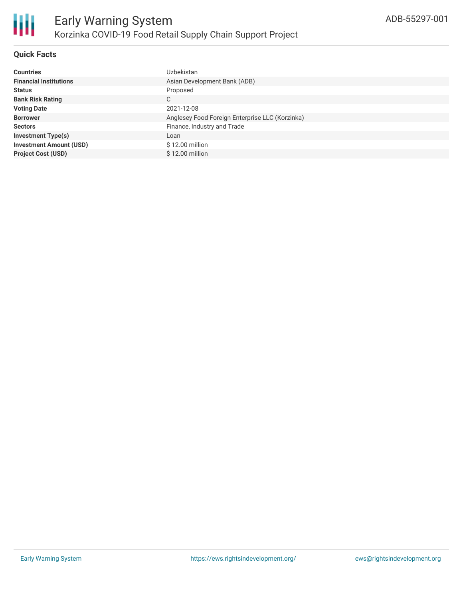

#### **Quick Facts**

| <b>Countries</b>               | Uzbekistan                                      |
|--------------------------------|-------------------------------------------------|
| <b>Financial Institutions</b>  | Asian Development Bank (ADB)                    |
| <b>Status</b>                  | Proposed                                        |
| <b>Bank Risk Rating</b>        | С                                               |
| <b>Voting Date</b>             | 2021-12-08                                      |
| <b>Borrower</b>                | Anglesey Food Foreign Enterprise LLC (Korzinka) |
| <b>Sectors</b>                 | Finance, Industry and Trade                     |
| <b>Investment Type(s)</b>      | Loan                                            |
| <b>Investment Amount (USD)</b> | \$12.00 million                                 |
| <b>Project Cost (USD)</b>      | $$12.00$ million                                |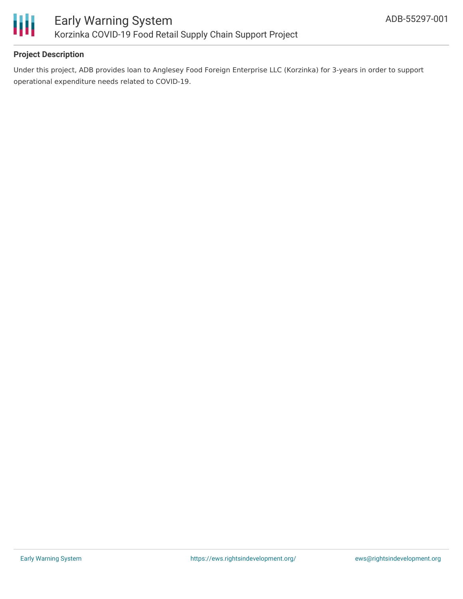

#### **Project Description**

Under this project, ADB provides loan to Anglesey Food Foreign Enterprise LLC (Korzinka) for 3-years in order to support operational expenditure needs related to COVID-19.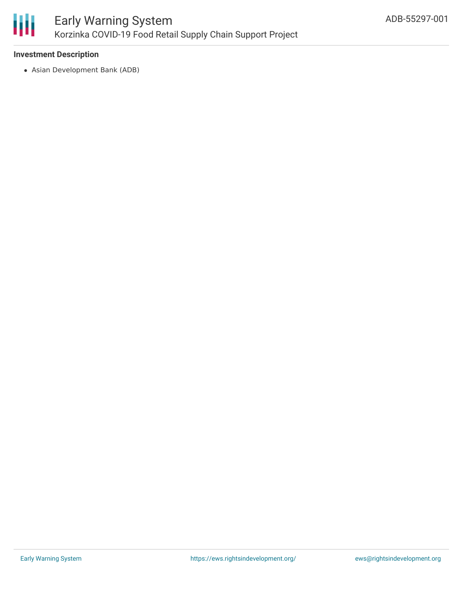

#### **Investment Description**

Asian Development Bank (ADB)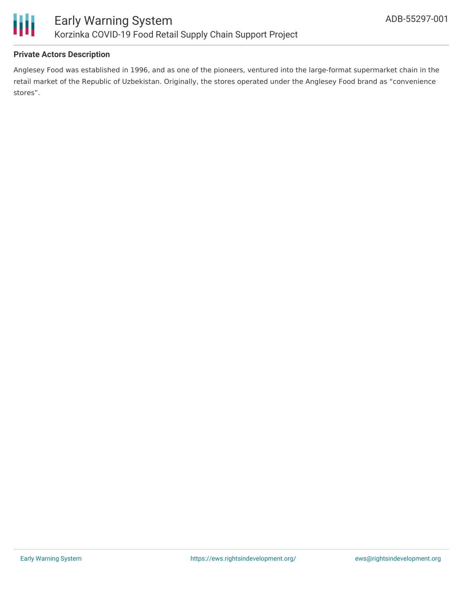

#### **Private Actors Description**

Anglesey Food was established in 1996, and as one of the pioneers, ventured into the large-format supermarket chain in the retail market of the Republic of Uzbekistan. Originally, the stores operated under the Anglesey Food brand as "convenience stores".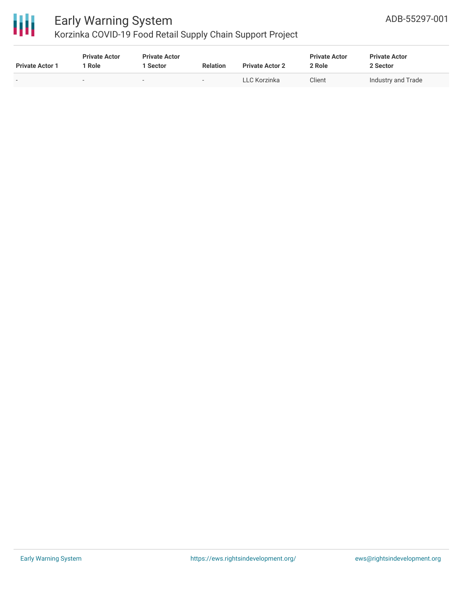

## Early Warning System

Korzinka COVID-19 Food Retail Supply Chain Support Project

| <b>Private Actor 1</b>   | <b>Private Actor</b><br>Role | <b>Private Actor</b><br>  Sector | <b>Relation</b>          | <b>Private Actor 2</b> | <b>Private Actor</b><br>2 Role | <b>Private Actor</b><br>2 Sector |
|--------------------------|------------------------------|----------------------------------|--------------------------|------------------------|--------------------------------|----------------------------------|
| $\overline{\phantom{a}}$ | -                            | $\overline{\phantom{0}}$         | $\overline{\phantom{a}}$ | LLC Korzinka           | Client                         | Industry and Trade               |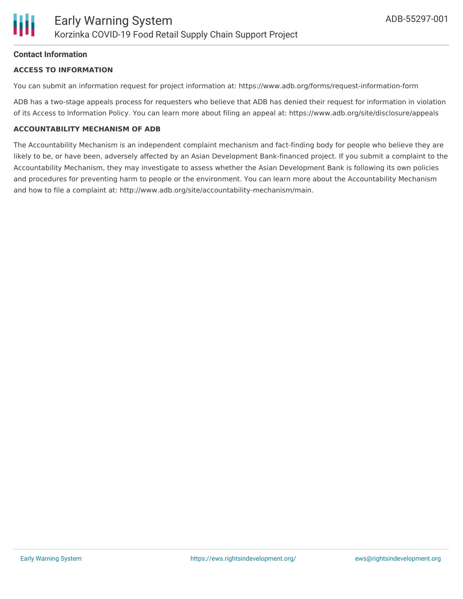#### **Contact Information**

#### **ACCESS TO INFORMATION**

You can submit an information request for project information at: https://www.adb.org/forms/request-information-form

ADB has a two-stage appeals process for requesters who believe that ADB has denied their request for information in violation of its Access to Information Policy. You can learn more about filing an appeal at: https://www.adb.org/site/disclosure/appeals

#### **ACCOUNTABILITY MECHANISM OF ADB**

The Accountability Mechanism is an independent complaint mechanism and fact-finding body for people who believe they are likely to be, or have been, adversely affected by an Asian Development Bank-financed project. If you submit a complaint to the Accountability Mechanism, they may investigate to assess whether the Asian Development Bank is following its own policies and procedures for preventing harm to people or the environment. You can learn more about the Accountability Mechanism and how to file a complaint at: http://www.adb.org/site/accountability-mechanism/main.